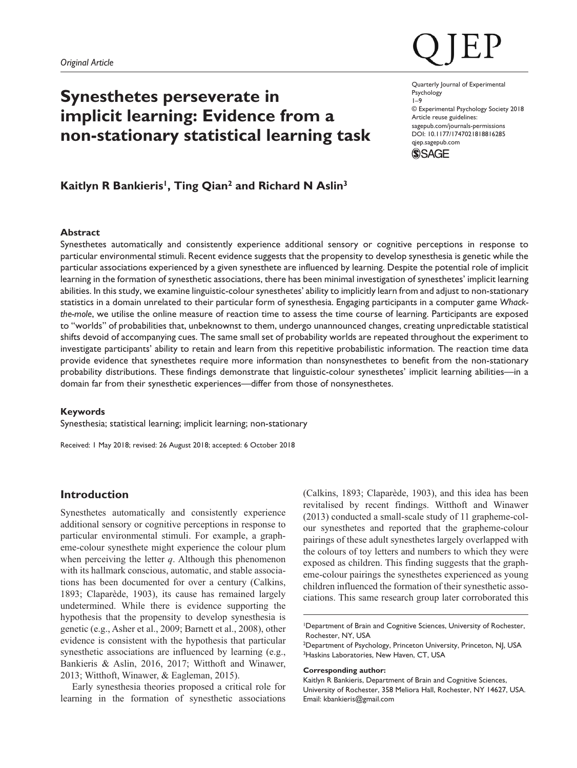# **Synesthetes perseverate in implicit learning: Evidence from a non-stationary statistical learning task**

DOI: 10.1177/1747021818816285 Quarterly Journal of Experimental Psychology 1–9 © Experimental Psychology Society 2018 Article reuse guidelines: [sagepub.com/journals-permissions](https://uk.sagepub.com/en-gb/journals-permissions) [qjep.sagepub.com](http://qjep.sagepub.com)



# Kaitlyn R Bankieris<sup>1</sup>, Ting Qian<sup>2</sup> and Richard N Aslin<sup>3</sup>

## **Abstract**

Synesthetes automatically and consistently experience additional sensory or cognitive perceptions in response to particular environmental stimuli. Recent evidence suggests that the propensity to develop synesthesia is genetic while the particular associations experienced by a given synesthete are influenced by learning. Despite the potential role of implicit learning in the formation of synesthetic associations, there has been minimal investigation of synesthetes' implicit learning abilities. In this study, we examine linguistic-colour synesthetes' ability to implicitly learn from and adjust to non-stationary statistics in a domain unrelated to their particular form of synesthesia. Engaging participants in a computer game *Whackthe-mole*, we utilise the online measure of reaction time to assess the time course of learning. Participants are exposed to "worlds" of probabilities that, unbeknownst to them, undergo unannounced changes, creating unpredictable statistical shifts devoid of accompanying cues. The same small set of probability worlds are repeated throughout the experiment to investigate participants' ability to retain and learn from this repetitive probabilistic information. The reaction time data provide evidence that synesthetes require more information than nonsynesthetes to benefit from the non-stationary probability distributions. These findings demonstrate that linguistic-colour synesthetes' implicit learning abilities—in a domain far from their synesthetic experiences—differ from those of nonsynesthetes.

#### **Keywords**

Synesthesia; statistical learning; implicit learning; non-stationary

Received: 1 May 2018; revised: 26 August 2018; accepted: 6 October 2018

# **Introduction**

Synesthetes automatically and consistently experience additional sensory or cognitive perceptions in response to particular environmental stimuli. For example, a grapheme-colour synesthete might experience the colour plum when perceiving the letter *q*. Although this phenomenon with its hallmark conscious, automatic, and stable associations has been documented for over a century (Calkins, 1893; Claparède, 1903), its cause has remained largely undetermined. While there is evidence supporting the hypothesis that the propensity to develop synesthesia is genetic (e.g., Asher et al., 2009; Barnett et al., 2008), other evidence is consistent with the hypothesis that particular synesthetic associations are influenced by learning (e.g., Bankieris & Aslin, 2016, 2017; Witthoft and Winawer, 2013; Witthoft, Winawer, & Eagleman, 2015).

Early synesthesia theories proposed a critical role for learning in the formation of synesthetic associations (Calkins, 1893; Claparède, 1903), and this idea has been revitalised by recent findings. Witthoft and Winawer (2013) conducted a small-scale study of 11 grapheme-colour synesthetes and reported that the grapheme-colour pairings of these adult synesthetes largely overlapped with the colours of toy letters and numbers to which they were exposed as children. This finding suggests that the grapheme-colour pairings the synesthetes experienced as young children influenced the formation of their synesthetic associations. This same research group later corroborated this

#### **Corresponding author:**

<sup>1</sup>Department of Brain and Cognitive Sciences, University of Rochester, Rochester, NY, USA

<sup>&</sup>lt;sup>2</sup>Department of Psychology, Princeton University, Princeton, NJ, USA <sup>3</sup>Haskins Laboratories, New Haven, CT, USA

Kaitlyn R Bankieris, Department of Brain and Cognitive Sciences, University of Rochester, 358 Meliora Hall, Rochester, NY 14627, USA. Email: [kbankieris@gmail.com](mailto:kbankieris@gmail.com)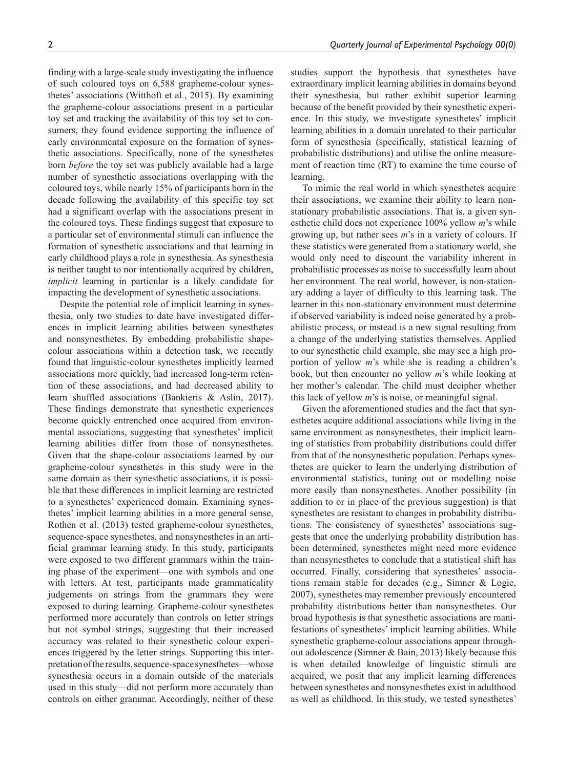finding with a large-scale study investigating the influence of such coloured toys on 6,588 grapheme-colour synesthetes' associations (Witthoft et al., 2015). By examining the grapheme-colour associations present in a particular toy set and tracking the availability of this toy set to consumers, they found evidence supporting the influence of early environmental exposure on the formation of synesthetic associations. Specifically, none of the synesthetes born *before* the toy set was publicly available had a large number of synesthetic associations overlapping with the coloured toys, while nearly 15% of participants born in the decade following the availability of this specific toy set had a significant overlap with the associations present in the coloured toys. These findings suggest that exposure to a particular set of environmental stimuli can influence the formation of synesthetic associations and that learning in early childhood plays a role in synesthesia. As synesthesia is neither taught to nor intentionally acquired by children, *implicit* learning in particular is a likely candidate for impacting the development of synesthetic associations.

Despite the potential role of implicit learning in synesthesia, only two studies to date have investigated differences in implicit learning abilities between synesthetes and nonsynesthetes. By embedding probabilistic shapecolour associations within a detection task, we recently found that linguistic-colour synesthetes implicitly learned associations more quickly, had increased long-term retention of these associations, and had decreased ability to learn shuffled associations (Bankieris & Aslin, 2017). These findings demonstrate that synesthetic experiences become quickly entrenched once acquired from environmental associations, suggesting that synesthetes' implicit learning abilities differ from those of nonsynesthetes. Given that the shape-colour associations learned by our grapheme-colour synesthetes in this study were in the same domain as their synesthetic associations, it is possible that these differences in implicit learning are restricted to a synesthetes' experienced domain. Examining synesthetes' implicit learning abilities in a more general sense, Rothen et al. (2013) tested grapheme-colour synesthetes, sequence-space synesthetes, and nonsynesthetes in an artificial grammar learning study. In this study, participants were exposed to two different grammars within the training phase of the experiment—one with symbols and one with letters. At test, participants made grammaticality judgements on strings from the grammars they were exposed to during learning. Grapheme-colour synesthetes performed more accurately than controls on letter strings but not symbol strings, suggesting that their increased accuracy was related to their synesthetic colour experiences triggered by the letter strings. Supporting this interpretation of the results, sequence-space synesthetes—whose synesthesia occurs in a domain outside of the materials used in this study—did not perform more accurately than controls on either grammar. Accordingly, neither of these studies support the hypothesis that synesthetes have extraordinary implicit learning abilities in domains beyond their synesthesia, but rather exhibit superior learning because of the benefit provided by their synesthetic experience. In this study, we investigate synesthetes' implicit learning abilities in a domain unrelated to their particular form of synesthesia (specifically, statistical learning of probabilistic distributions) and utilise the online measurement of reaction time (RT) to examine the time course of learning.

To mimic the real world in which synesthetes acquire their associations, we examine their ability to learn nonstationary probabilistic associations. That is, a given synesthetic child does not experience 100% yellow *m*'s while growing up, but rather sees *m*'s in a variety of colours. If these statistics were generated from a stationary world, she would only need to discount the variability inherent in probabilistic processes as noise to successfully learn about her environment. The real world, however, is non-stationary adding a layer of difficulty to this learning task. The learner in this non-stationary environment must determine if observed variability is indeed noise generated by a probabilistic process, or instead is a new signal resulting from a change of the underlying statistics themselves. Applied to our synesthetic child example, she may see a high proportion of yellow *m*'s while she is reading a children's book, but then encounter no yellow *m*'s while looking at her mother's calendar. The child must decipher whether this lack of yellow *m*'s is noise, or meaningful signal.

Given the aforementioned studies and the fact that synesthetes acquire additional associations while living in the same environment as nonsynesthetes, their implicit learning of statistics from probability distributions could differ from that of the nonsynesthetic population. Perhaps synesthetes are quicker to learn the underlying distribution of environmental statistics, tuning out or modelling noise more easily than nonsynesthetes. Another possibility (in addition to or in place of the previous suggestion) is that synesthetes are resistant to changes in probability distributions. The consistency of synesthetes' associations suggests that once the underlying probability distribution has been determined, synesthetes might need more evidence than nonsynesthetes to conclude that a statistical shift has occurred. Finally, considering that synesthetes' associations remain stable for decades (e.g., Simner & Logie, 2007), synesthetes may remember previously encountered probability distributions better than nonsynesthetes. Our broad hypothesis is that synesthetic associations are manifestations of synesthetes' implicit learning abilities. While synesthetic grapheme-colour associations appear throughout adolescence (Simner & Bain, 2013) likely because this is when detailed knowledge of linguistic stimuli are acquired, we posit that any implicit learning differences between synesthetes and nonsynesthetes exist in adulthood as well as childhood. In this study, we tested synesthetes'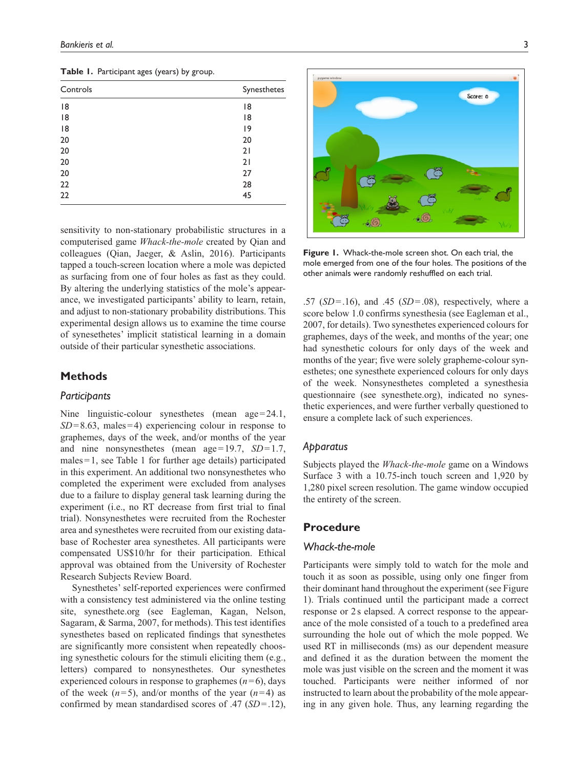| Controls | Synesthetes |  |  |  |
|----------|-------------|--|--|--|
| 18       | 18          |  |  |  |
| 8        | 8           |  |  |  |
| 8        | 9           |  |  |  |
| 20       | 20          |  |  |  |
| 20       | 21          |  |  |  |
| 20       | 21          |  |  |  |
| 20       | 27          |  |  |  |
| 22       | 28          |  |  |  |
| 22       | 45          |  |  |  |
|          |             |  |  |  |

**Table 1.** Participant ages (years) by group.

sensitivity to non-stationary probabilistic structures in a computerised game *Whack-the-mole* created by Qian and colleagues (Qian, Jaeger, & Aslin, 2016). Participants tapped a touch-screen location where a mole was depicted as surfacing from one of four holes as fast as they could. By altering the underlying statistics of the mole's appearance, we investigated participants' ability to learn, retain, and adjust to non-stationary probability distributions. This experimental design allows us to examine the time course of synesethetes' implicit statistical learning in a domain outside of their particular synesthetic associations.

# **Methods**

# *Participants*

Nine linguistic-colour synesthetes (mean age=24.1, *SD*=8.63, males=4) experiencing colour in response to graphemes, days of the week, and/or months of the year and nine nonsynesthetes (mean age=19.7, *SD*=1.7, males=1, see Table 1 for further age details) participated in this experiment. An additional two nonsynesthetes who completed the experiment were excluded from analyses due to a failure to display general task learning during the experiment (i.e., no RT decrease from first trial to final trial). Nonsynesthetes were recruited from the Rochester area and synesthetes were recruited from our existing database of Rochester area synesthetes. All participants were compensated US\$10/hr for their participation. Ethical approval was obtained from the University of Rochester Research Subjects Review Board.

Synesthetes' self-reported experiences were confirmed with a consistency test administered via the online testing site, synesthete.org (see Eagleman, Kagan, Nelson, Sagaram, & Sarma, 2007, for methods). This test identifies synesthetes based on replicated findings that synesthetes are significantly more consistent when repeatedly choosing synesthetic colours for the stimuli eliciting them (e.g., letters) compared to nonsynesthetes. Our synesthetes experienced colours in response to graphemes  $(n=6)$ , days of the week  $(n=5)$ , and/or months of the year  $(n=4)$  as confirmed by mean standardised scores of .47 (*SD*=.12),



**Figure 1.** Whack-the-mole screen shot. On each trial, the mole emerged from one of the four holes. The positions of the other animals were randomly reshuffled on each trial.

.57 (*SD*=.16), and .45 (*SD*=.08), respectively, where a score below 1.0 confirms synesthesia (see Eagleman et al., 2007, for details). Two synesthetes experienced colours for graphemes, days of the week, and months of the year; one had synesthetic colours for only days of the week and months of the year; five were solely grapheme-colour synesthetes; one synesthete experienced colours for only days of the week. Nonsynesthetes completed a synesthesia questionnaire (see synesthete.org), indicated no synesthetic experiences, and were further verbally questioned to ensure a complete lack of such experiences.

# *Apparatus*

Subjects played the *Whack-the-mole* game on a Windows Surface 3 with a 10.75-inch touch screen and 1,920 by 1,280 pixel screen resolution. The game window occupied the entirety of the screen.

# **Procedure**

#### *Whack-the-mole*

Participants were simply told to watch for the mole and touch it as soon as possible, using only one finger from their dominant hand throughout the experiment (see Figure 1). Trials continued until the participant made a correct response or 2s elapsed. A correct response to the appearance of the mole consisted of a touch to a predefined area surrounding the hole out of which the mole popped. We used RT in milliseconds (ms) as our dependent measure and defined it as the duration between the moment the mole was just visible on the screen and the moment it was touched. Participants were neither informed of nor instructed to learn about the probability of the mole appearing in any given hole. Thus, any learning regarding the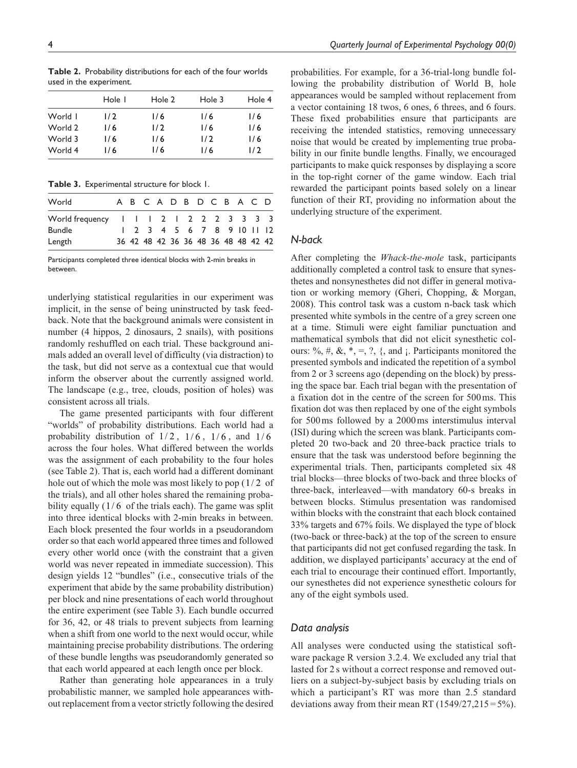|         | Hole I | Hole 2 | Hole 3 | Hole 4 |
|---------|--------|--------|--------|--------|
| World I | 1/2    | 1/6    | 1/6    | 1/6    |
| World 2 | 1/6    | 1/2    | 1/6    | 1/6    |
| World 3 | 1/6    | 1/6    | 1/2    | 1/6    |
| World 4 | 1/6    | 1/6    | 1/6    | 1/2    |
|         |        |        |        |        |

**Table 2.** Probability distributions for each of the four worlds used in the experiment.

**Table 3.** Experimental structure for block 1.

| World                                   |  |  |  | A B C A D B D C B A C D             |  |  |  |
|-----------------------------------------|--|--|--|-------------------------------------|--|--|--|
| World frequency 1 1 1 2 1 2 2 2 3 3 3 3 |  |  |  |                                     |  |  |  |
| <b>Bundle</b>                           |  |  |  | 1 2 3 4 5 6 7 8 9 10 11 12          |  |  |  |
| Length                                  |  |  |  | 36 42 48 42 36 36 48 36 48 48 42 42 |  |  |  |

Participants completed three identical blocks with 2-min breaks in between.

underlying statistical regularities in our experiment was implicit, in the sense of being uninstructed by task feedback. Note that the background animals were consistent in number (4 hippos, 2 dinosaurs, 2 snails), with positions randomly reshuffled on each trial. These background animals added an overall level of difficulty (via distraction) to the task, but did not serve as a contextual cue that would inform the observer about the currently assigned world. The landscape (e.g., tree, clouds, position of holes) was consistent across all trials.

The game presented participants with four different "worlds" of probability distributions. Each world had a probability distribution of  $1/2$ ,  $1/6$ ,  $1/6$ , and  $1/6$ across the four holes. What differed between the worlds was the assignment of each probability to the four holes (see Table 2). That is, each world had a different dominant hole out of which the mole was most likely to pop  $(1/2 \text{ of }$ the trials), and all other holes shared the remaining probability equally  $(1/6 \text{ of the trials each})$ . The game was split into three identical blocks with 2-min breaks in between. Each block presented the four worlds in a pseudorandom order so that each world appeared three times and followed every other world once (with the constraint that a given world was never repeated in immediate succession). This design yields 12 "bundles" (i.e., consecutive trials of the experiment that abide by the same probability distribution) per block and nine presentations of each world throughout the entire experiment (see Table 3). Each bundle occurred for 36, 42, or 48 trials to prevent subjects from learning when a shift from one world to the next would occur, while maintaining precise probability distributions. The ordering of these bundle lengths was pseudorandomly generated so that each world appeared at each length once per block.

Rather than generating hole appearances in a truly probabilistic manner, we sampled hole appearances without replacement from a vector strictly following the desired

probabilities. For example, for a 36-trial-long bundle following the probability distribution of World B, hole appearances would be sampled without replacement from a vector containing 18 twos, 6 ones, 6 threes, and 6 fours. These fixed probabilities ensure that participants are receiving the intended statistics, removing unnecessary noise that would be created by implementing true probability in our finite bundle lengths. Finally, we encouraged participants to make quick responses by displaying a score in the top-right corner of the game window. Each trial rewarded the participant points based solely on a linear function of their RT, providing no information about the underlying structure of the experiment.

# *N-back*

After completing the *Whack-the-mole* task, participants additionally completed a control task to ensure that synesthetes and nonsynesthetes did not differ in general motivation or working memory (Gheri, Chopping, & Morgan, 2008). This control task was a custom n-back task which presented white symbols in the centre of a grey screen one at a time. Stimuli were eight familiar punctuation and mathematical symbols that did not elicit synesthetic colours: %, #, &,  $*$ , =, ?, {, and ;. Participants monitored the presented symbols and indicated the repetition of a symbol from 2 or 3 screens ago (depending on the block) by pressing the space bar. Each trial began with the presentation of a fixation dot in the centre of the screen for 500ms. This fixation dot was then replaced by one of the eight symbols for 500ms followed by a 2000ms interstimulus interval (ISI) during which the screen was blank. Participants completed 20 two-back and 20 three-back practice trials to ensure that the task was understood before beginning the experimental trials. Then, participants completed six 48 trial blocks—three blocks of two-back and three blocks of three-back, interleaved—with mandatory 60-s breaks in between blocks. Stimulus presentation was randomised within blocks with the constraint that each block contained 33% targets and 67% foils. We displayed the type of block (two-back or three-back) at the top of the screen to ensure that participants did not get confused regarding the task. In addition, we displayed participants' accuracy at the end of each trial to encourage their continued effort. Importantly, our synesthetes did not experience synesthetic colours for any of the eight symbols used.

## *Data analysis*

All analyses were conducted using the statistical software package R version 3.2.4. We excluded any trial that lasted for 2 s without a correct response and removed outliers on a subject-by-subject basis by excluding trials on which a participant's RT was more than 2.5 standard deviations away from their mean RT (1549/27,215 = 5%).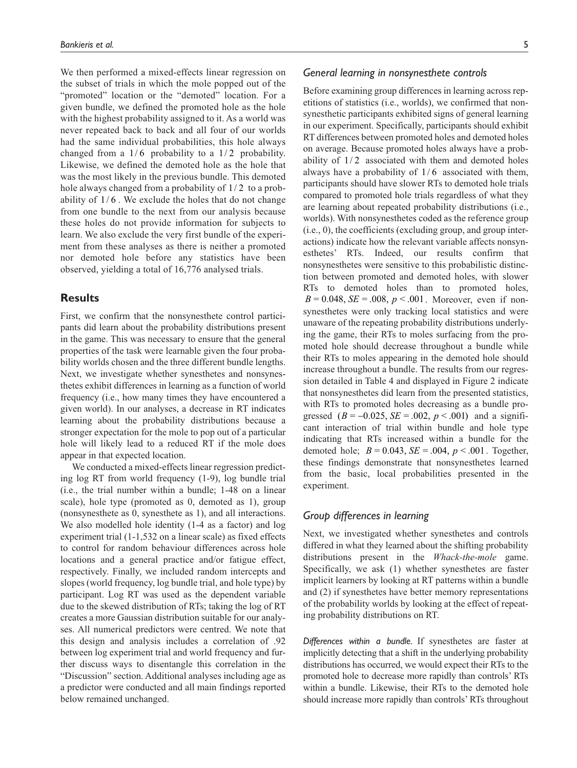We then performed a mixed-effects linear regression on the subset of trials in which the mole popped out of the "promoted" location or the "demoted" location. For a given bundle, we defined the promoted hole as the hole with the highest probability assigned to it. As a world was never repeated back to back and all four of our worlds had the same individual probabilities, this hole always changed from a  $1/6$  probability to a  $1/2$  probability. Likewise, we defined the demoted hole as the hole that was the most likely in the previous bundle. This demoted hole always changed from a probability of  $1/2$  to a probability of  $1/6$ . We exclude the holes that do not change from one bundle to the next from our analysis because these holes do not provide information for subjects to learn. We also exclude the very first bundle of the experiment from these analyses as there is neither a promoted nor demoted hole before any statistics have been observed, yielding a total of 16,776 analysed trials.

# **Results**

First, we confirm that the nonsynesthete control participants did learn about the probability distributions present in the game. This was necessary to ensure that the general properties of the task were learnable given the four probability worlds chosen and the three different bundle lengths. Next, we investigate whether synesthetes and nonsynesthetes exhibit differences in learning as a function of world frequency (i.e., how many times they have encountered a given world). In our analyses, a decrease in RT indicates learning about the probability distributions because a stronger expectation for the mole to pop out of a particular hole will likely lead to a reduced RT if the mole does appear in that expected location.

We conducted a mixed-effects linear regression predicting log RT from world frequency (1-9), log bundle trial (i.e., the trial number within a bundle; 1-48 on a linear scale), hole type (promoted as 0, demoted as 1), group (nonsynesthete as 0, synesthete as 1), and all interactions. We also modelled hole identity (1-4 as a factor) and log experiment trial (1-1,532 on a linear scale) as fixed effects to control for random behaviour differences across hole locations and a general practice and/or fatigue effect, respectively. Finally, we included random intercepts and slopes (world frequency, log bundle trial, and hole type) by participant. Log RT was used as the dependent variable due to the skewed distribution of RTs; taking the log of RT creates a more Gaussian distribution suitable for our analyses. All numerical predictors were centred. We note that this design and analysis includes a correlation of .92 between log experiment trial and world frequency and further discuss ways to disentangle this correlation in the "Discussion" section. Additional analyses including age as a predictor were conducted and all main findings reported below remained unchanged.

# *General learning in nonsynesthete controls*

Before examining group differences in learning across repetitions of statistics (i.e., worlds), we confirmed that nonsynesthetic participants exhibited signs of general learning in our experiment. Specifically, participants should exhibit RT differences between promoted holes and demoted holes on average. Because promoted holes always have a probability of  $1/2$  associated with them and demoted holes always have a probability of  $1/6$  associated with them, participants should have slower RTs to demoted hole trials compared to promoted hole trials regardless of what they are learning about repeated probability distributions (i.e., worlds). With nonsynesthetes coded as the reference group (i.e., 0), the coefficients (excluding group, and group interactions) indicate how the relevant variable affects nonsynesthetes' RTs. Indeed, our results confirm that nonsynesthetes were sensitive to this probabilistic distinction between promoted and demoted holes, with slower RTs to demoted holes than to promoted holes,  $B = 0.048$ ,  $SE = 0.008$ ,  $p < 0.001$ . Moreover, even if nonsynesthetes were only tracking local statistics and were unaware of the repeating probability distributions underlying the game, their RTs to moles surfacing from the promoted hole should decrease throughout a bundle while their RTs to moles appearing in the demoted hole should increase throughout a bundle. The results from our regression detailed in Table 4 and displayed in Figure 2 indicate that nonsynesthetes did learn from the presented statistics, with RTs to promoted holes decreasing as a bundle progressed  $(B = -0.025, SE = .002, p < .001)$  and a significant interaction of trial within bundle and hole type indicating that RTs increased within a bundle for the demoted hole;  $B = 0.043$ ,  $SE = .004$ ,  $p < .001$ . Together, these findings demonstrate that nonsynesthetes learned from the basic, local probabilities presented in the experiment.

# *Group differences in learning*

Next, we investigated whether synesthetes and controls differed in what they learned about the shifting probability distributions present in the *Whack-the-mole* game. Specifically, we ask (1) whether synesthetes are faster implicit learners by looking at RT patterns within a bundle and (2) if synesthetes have better memory representations of the probability worlds by looking at the effect of repeating probability distributions on RT.

*Differences within a bundle.* If synesthetes are faster at implicitly detecting that a shift in the underlying probability distributions has occurred, we would expect their RTs to the promoted hole to decrease more rapidly than controls' RTs within a bundle. Likewise, their RTs to the demoted hole should increase more rapidly than controls' RTs throughout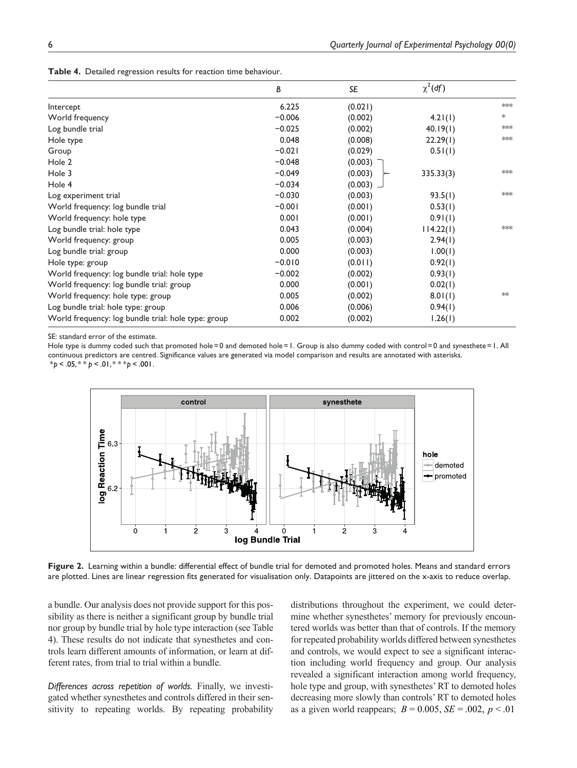|  |  | Table 4. Detailed regression results for reaction time behaviour. |  |  |  |  |
|--|--|-------------------------------------------------------------------|--|--|--|--|
|--|--|-------------------------------------------------------------------|--|--|--|--|

|                                                     | B        | SE      | $\chi^2(df)$ |        |
|-----------------------------------------------------|----------|---------|--------------|--------|
| Intercept                                           | 6.225    | (0.021) |              | $*$    |
| World frequency                                     | $-0.006$ | (0.002) | 4.21(1)      | $\ast$ |
| Log bundle trial                                    | $-0.025$ | (0.002) | 40.19(1)     | $*$    |
| Hole type                                           | 0.048    | (0.008) | 22.29(1)     | $*$    |
| Group                                               | $-0.021$ | (0.029) | 0.51(1)      |        |
| Hole 2                                              | $-0.048$ | (0.003) |              |        |
| Hole 3                                              | $-0.049$ | (0.003) | 335.33(3)    | $*$    |
| Hole 4                                              | $-0.034$ | (0.003) |              |        |
| Log experiment trial                                | $-0.030$ | (0.003) | 93.5(1)      | $*$    |
| World frequency: log bundle trial                   | $-0.001$ | (0.001) | 0.53(1)      |        |
| World frequency: hole type                          | 0.001    | (0.001) | 0.91(1)      |        |
| Log bundle trial: hole type                         | 0.043    | (0.004) | 114.22(1)    | $*$    |
| World frequency: group                              | 0.005    | (0.003) | 2.94(1)      |        |
| Log bundle trial: group                             | 0.000    | (0.003) | 1.00(1)      |        |
| Hole type: group                                    | $-0.010$ | (0.011) | 0.92(1)      |        |
| World frequency: log bundle trial: hole type        | $-0.002$ | (0.002) | 0.93(1)      |        |
| World frequency: log bundle trial: group            | 0.000    | (0.001) | 0.02(1)      |        |
| World frequency: hole type: group                   | 0.005    | (0.002) | 8.01(1)      | $*$    |
| Log bundle trial: hole type: group                  | 0.006    | (0.006) | 0.94(1)      |        |
| World frequency: log bundle trial: hole type: group | 0.002    | (0.002) | 1.26(1)      |        |

SE: standard error of the estimate.

Hole type is dummy coded such that promoted hole=0 and demoted hole=1. Group is also dummy coded with control=0 and synesthete=1. All continuous predictors are centred. Significance values are generated via model comparison and results are annotated with asterisks.  $*_{p}$  < .05,  $*$   $*$   $_{p}$  < .01,  $*$   $*$   $*_{p}$  < .001.



**Figure 2.** Learning within a bundle: differential effect of bundle trial for demoted and promoted holes. Means and standard errors are plotted. Lines are linear regression fits generated for visualisation only. Datapoints are jittered on the x-axis to reduce overlap.

a bundle. Our analysis does not provide support for this possibility as there is neither a significant group by bundle trial nor group by bundle trial by hole type interaction (see Table 4). These results do not indicate that synesthetes and controls learn different amounts of information, or learn at different rates, from trial to trial within a bundle.

*Differences across repetition of worlds.* Finally, we investigated whether synesthetes and controls differed in their sensitivity to repeating worlds. By repeating probability distributions throughout the experiment, we could determine whether synesthetes' memory for previously encountered worlds was better than that of controls. If the memory for repeated probability worlds differed between synesthetes and controls, we would expect to see a significant interaction including world frequency and group. Our analysis revealed a significant interaction among world frequency, hole type and group, with synesthetes' RT to demoted holes decreasing more slowly than controls' RT to demoted holes as a given world reappears;  $B = 0.005$ ,  $SE = .002$ ,  $p < .01$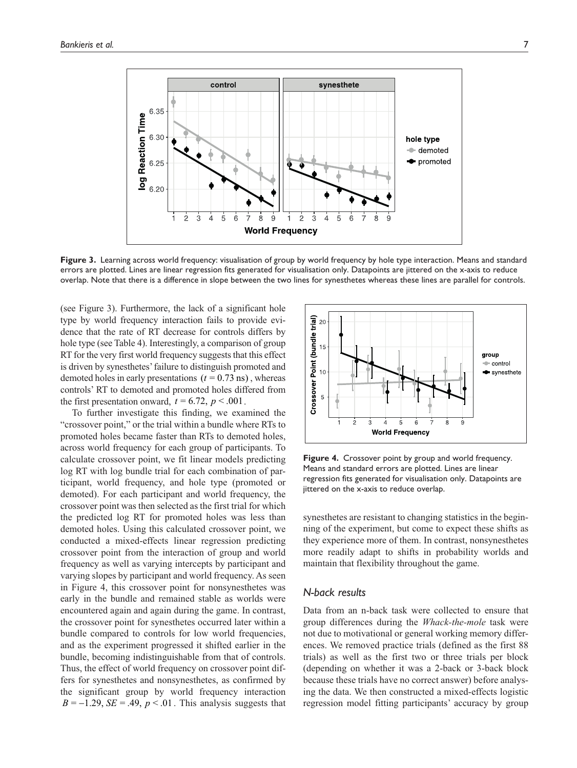

Figure 3. Learning across world frequency: visualisation of group by world frequency by hole type interaction. Means and standard errors are plotted. Lines are linear regression fits generated for visualisation only. Datapoints are jittered on the x-axis to reduce overlap. Note that there is a difference in slope between the two lines for synesthetes whereas these lines are parallel for controls.

(see Figure 3). Furthermore, the lack of a significant hole type by world frequency interaction fails to provide evidence that the rate of RT decrease for controls differs by hole type (see Table 4). Interestingly, a comparison of group RT for the very first world frequency suggests that this effect is driven by synesthetes' failure to distinguish promoted and demoted holes in early presentations  $(t = 0.73 \text{ ns})$ , whereas controls' RT to demoted and promoted holes differed from the first presentation onward,  $t = 6.72$ ,  $p < .001$ .

To further investigate this finding, we examined the "crossover point," or the trial within a bundle where RTs to promoted holes became faster than RTs to demoted holes, across world frequency for each group of participants. To calculate crossover point, we fit linear models predicting log RT with log bundle trial for each combination of participant, world frequency, and hole type (promoted or demoted). For each participant and world frequency, the crossover point was then selected as the first trial for which the predicted log RT for promoted holes was less than demoted holes. Using this calculated crossover point, we conducted a mixed-effects linear regression predicting crossover point from the interaction of group and world frequency as well as varying intercepts by participant and varying slopes by participant and world frequency. As seen in Figure 4, this crossover point for nonsynesthetes was early in the bundle and remained stable as worlds were encountered again and again during the game. In contrast, the crossover point for synesthetes occurred later within a bundle compared to controls for low world frequencies, and as the experiment progressed it shifted earlier in the bundle, becoming indistinguishable from that of controls. Thus, the effect of world frequency on crossover point differs for synesthetes and nonsynesthetes, as confirmed by the significant group by world frequency interaction  $B = -1.29$ ,  $SE = .49$ ,  $p < .01$ . This analysis suggests that



**Figure 4.** Crossover point by group and world frequency. Means and standard errors are plotted. Lines are linear regression fits generated for visualisation only. Datapoints are jittered on the x-axis to reduce overlap.

synesthetes are resistant to changing statistics in the beginning of the experiment, but come to expect these shifts as they experience more of them. In contrast, nonsynesthetes more readily adapt to shifts in probability worlds and maintain that flexibility throughout the game.

#### *N-back results*

Data from an n-back task were collected to ensure that group differences during the *Whack-the-mole* task were not due to motivational or general working memory differences. We removed practice trials (defined as the first 88 trials) as well as the first two or three trials per block (depending on whether it was a 2-back or 3-back block because these trials have no correct answer) before analysing the data. We then constructed a mixed-effects logistic regression model fitting participants' accuracy by group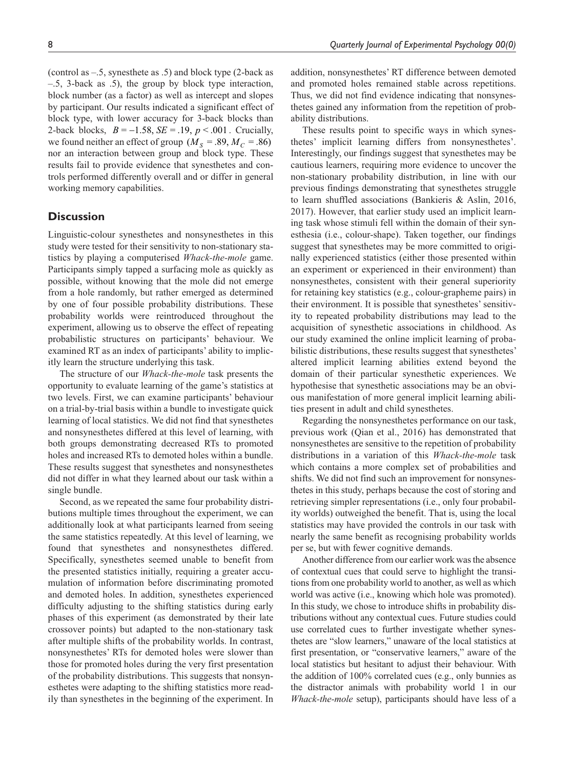(control as –.5, synesthete as .5) and block type (2-back as –.5, 3-back as .5), the group by block type interaction, block number (as a factor) as well as intercept and slopes by participant. Our results indicated a significant effect of block type, with lower accuracy for 3-back blocks than 2-back blocks,  $B = -1.58$ ,  $SE = .19$ ,  $p < .001$ . Crucially, we found neither an effect of group ( $M_s = .89, M_c = .86$ ) nor an interaction between group and block type. These results fail to provide evidence that synesthetes and controls performed differently overall and or differ in general working memory capabilities.

# **Discussion**

Linguistic-colour synesthetes and nonsynesthetes in this study were tested for their sensitivity to non-stationary statistics by playing a computerised *Whack-the-mole* game. Participants simply tapped a surfacing mole as quickly as possible, without knowing that the mole did not emerge from a hole randomly, but rather emerged as determined by one of four possible probability distributions. These probability worlds were reintroduced throughout the experiment, allowing us to observe the effect of repeating probabilistic structures on participants' behaviour. We examined RT as an index of participants' ability to implicitly learn the structure underlying this task.

The structure of our *Whack-the-mole* task presents the opportunity to evaluate learning of the game's statistics at two levels. First, we can examine participants' behaviour on a trial-by-trial basis within a bundle to investigate quick learning of local statistics. We did not find that synesthetes and nonsynesthetes differed at this level of learning, with both groups demonstrating decreased RTs to promoted holes and increased RTs to demoted holes within a bundle. These results suggest that synesthetes and nonsynesthetes did not differ in what they learned about our task within a single bundle.

Second, as we repeated the same four probability distributions multiple times throughout the experiment, we can additionally look at what participants learned from seeing the same statistics repeatedly. At this level of learning, we found that synesthetes and nonsynesthetes differed. Specifically, synesthetes seemed unable to benefit from the presented statistics initially, requiring a greater accumulation of information before discriminating promoted and demoted holes. In addition, synesthetes experienced difficulty adjusting to the shifting statistics during early phases of this experiment (as demonstrated by their late crossover points) but adapted to the non-stationary task after multiple shifts of the probability worlds. In contrast, nonsynesthetes' RTs for demoted holes were slower than those for promoted holes during the very first presentation of the probability distributions. This suggests that nonsynesthetes were adapting to the shifting statistics more readily than synesthetes in the beginning of the experiment. In

addition, nonsynesthetes' RT difference between demoted and promoted holes remained stable across repetitions. Thus, we did not find evidence indicating that nonsynesthetes gained any information from the repetition of probability distributions.

These results point to specific ways in which synesthetes' implicit learning differs from nonsynesthetes'. Interestingly, our findings suggest that synesthetes may be cautious learners, requiring more evidence to uncover the non-stationary probability distribution, in line with our previous findings demonstrating that synesthetes struggle to learn shuffled associations (Bankieris & Aslin, 2016, 2017). However, that earlier study used an implicit learning task whose stimuli fell within the domain of their synesthesia (i.e., colour-shape). Taken together, our findings suggest that synesthetes may be more committed to originally experienced statistics (either those presented within an experiment or experienced in their environment) than nonsynesthetes, consistent with their general superiority for retaining key statistics (e.g., colour-grapheme pairs) in their environment. It is possible that synesthetes' sensitivity to repeated probability distributions may lead to the acquisition of synesthetic associations in childhood. As our study examined the online implicit learning of probabilistic distributions, these results suggest that synesthetes' altered implicit learning abilities extend beyond the domain of their particular synesthetic experiences. We hypothesise that synesthetic associations may be an obvious manifestation of more general implicit learning abilities present in adult and child synesthetes.

Regarding the nonsynesthetes performance on our task, previous work (Qian et al., 2016) has demonstrated that nonsynesthetes are sensitive to the repetition of probability distributions in a variation of this *Whack-the-mole* task which contains a more complex set of probabilities and shifts. We did not find such an improvement for nonsynesthetes in this study, perhaps because the cost of storing and retrieving simpler representations (i.e., only four probability worlds) outweighed the benefit. That is, using the local statistics may have provided the controls in our task with nearly the same benefit as recognising probability worlds per se, but with fewer cognitive demands.

Another difference from our earlier work was the absence of contextual cues that could serve to highlight the transitions from one probability world to another, as well as which world was active (i.e., knowing which hole was promoted). In this study, we chose to introduce shifts in probability distributions without any contextual cues. Future studies could use correlated cues to further investigate whether synesthetes are "slow learners," unaware of the local statistics at first presentation, or "conservative learners," aware of the local statistics but hesitant to adjust their behaviour. With the addition of 100% correlated cues (e.g., only bunnies as the distractor animals with probability world 1 in our *Whack-the-mole* setup), participants should have less of a